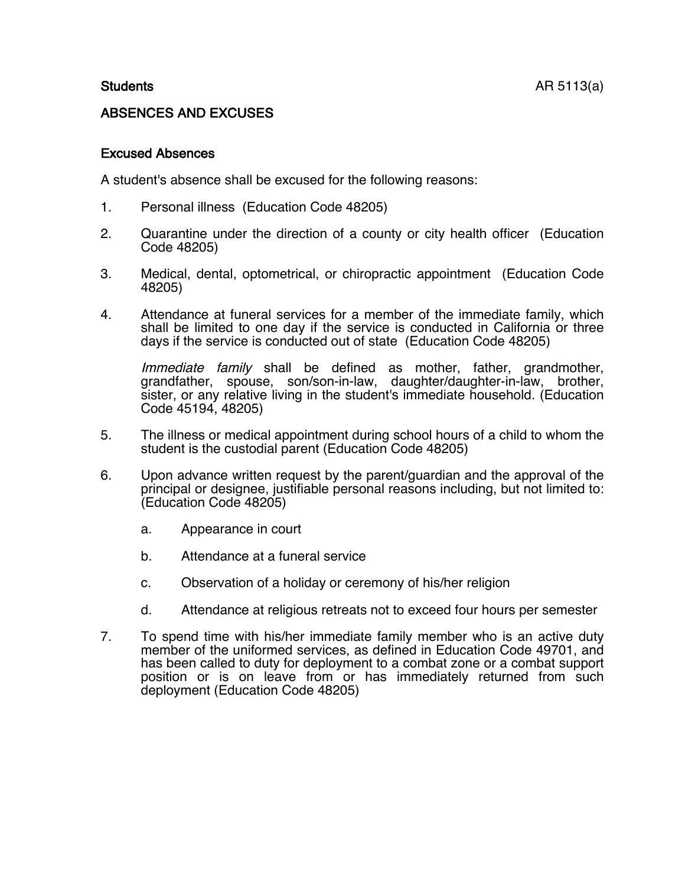## ABSENCES AND EXCUSES

## Excused Absences

A student's absence shall be excused for the following reasons:

- 1. Personal illness (Education Code 48205)
- 2. Quarantine under the direction of a county or city health officer (Education Code 48205)
- 3. Medical, dental, optometrical, or chiropractic appointment (Education Code 48205)
- 4. Attendance at funeral services for a member of the immediate family, which shall be limited to one day if the service is conducted in California or three days if the service is conducted out of state (Education Code 48205)

Immediate family shall be defined as mother, father, grandmother, grandfather, spouse, son/son-in-law, daughter/daughter-in-law, brother, sister, or any relative living in the student's immediate household. (Education Code 45194, 48205)

- 5. The illness or medical appointment during school hours of a child to whom the student is the custodial parent (Education Code 48205)
- 6. Upon advance written request by the parent/guardian and the approval of the principal or designee, justifiable personal reasons including, but not limited to: (Education Code 48205)
	- a. Appearance in court
	- b. Attendance at a funeral service
	- c. Observation of a holiday or ceremony of his/her religion
	- d. Attendance at religious retreats not to exceed four hours per semester
- 7. To spend time with his/her immediate family member who is an active duty member of the uniformed services, as defined in Education Code 49701, and has been called to duty for deployment to a combat zone or a combat support position or is on leave from or has immediately returned from such deployment (Education Code 48205)